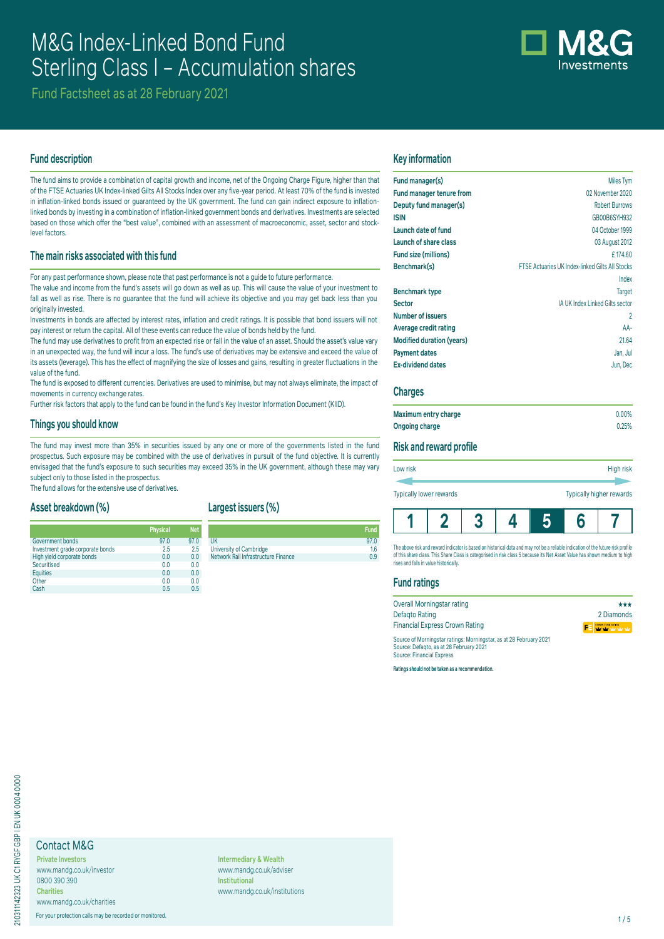# M&G Index-Linked Bond Fund Sterling Class I – Accumulation shares



Fund Factsheet as at 28 February 2021

# **Fund description**

The fund aims to provide a combination of capital growth and income, net of the Ongoing Charge Figure, higher than that of the FTSE Actuaries UK Index-linked Gilts All Stocks Index over any five-year period. At least 70% of the fund is invested in inflation-linked bonds issued or guaranteed by the UK government. The fund can gain indirect exposure to inflationlinked bonds by investing in a combination of inflation-linked government bonds and derivatives. Investments are selected based on those which offer the "best value", combined with an assessment of macroeconomic, asset, sector and stocklevel factors.

# **The main risks associated with this fund**

For any past performance shown, please note that past performance is not a guide to future performance.

The value and income from the fund's assets will go down as well as up. This will cause the value of your investment to fall as well as rise. There is no guarantee that the fund will achieve its objective and you may get back less than you originally invested.

Investments in bonds are affected by interest rates, inflation and credit ratings. It is possible that bond issuers will not pay interest or return the capital. All of these events can reduce the value of bonds held by the fund.

The fund may use derivatives to profit from an expected rise or fall in the value of an asset. Should the asset's value vary in an unexpected way, the fund will incur a loss. The fund's use of derivatives may be extensive and exceed the value of its assets (leverage). This has the effect of magnifying the size of losses and gains, resulting in greater fluctuations in the value of the fund.

The fund is exposed to different currencies. Derivatives are used to minimise, but may not always eliminate, the impact of movements in currency exchange rates.

Further risk factors that apply to the fund can be found in the fund's Key Investor Information Document (KIID).

#### **Things you should know**

The fund may invest more than 35% in securities issued by any one or more of the governments listed in the fund prospectus. Such exposure may be combined with the use of derivatives in pursuit of the fund objective. It is currently envisaged that the fund's exposure to such securities may exceed 35% in the UK government, although these may vary subject only to those listed in the prospectus.

The fund allows for the extensive use of derivatives.

# **Asset breakdown (%)**

|                                  | <b>Physical</b> | <b>Net</b> |
|----------------------------------|-----------------|------------|
| Government bonds                 | 97.0            | 97.0       |
| Investment grade corporate bonds | 2.5             | 2.5        |
| High yield corporate bonds       | 0.0             | 0.0        |
| Securitised                      | 0.0             | 0.0        |
| <b>Equities</b>                  | 0.0             | 0.0        |
| Other                            | 0.0             | 0.0        |
| Cash                             | 0.5             | 0.5        |

# **Largest issuers (%)**

UK 97.0 University of Cambridge<br>
Network Rail Infrastructure Finance<br>
0.9 Network Rail Infrastructure Finance

# **Key information**

| Fund manager(s)                  | Miles Tym                                       |
|----------------------------------|-------------------------------------------------|
|                                  |                                                 |
| Fund manager tenure from         | 02 November 2020                                |
| Deputy fund manager(s)           | <b>Robert Burrows</b>                           |
| <b>ISIN</b>                      | GB00B6SYH932                                    |
| Launch date of fund              | 04 October 1999                                 |
| Launch of share class            | 03 August 2012                                  |
| Fund size (millions)             | £174.60                                         |
| Benchmark(s)                     | FTSE Actuaries UK Index-linked Gilts All Stocks |
|                                  | Index                                           |
| <b>Benchmark type</b>            | <b>Target</b>                                   |
| <b>Sector</b>                    | IA UK Index Linked Gilts sector                 |
| <b>Number of issuers</b>         | 2                                               |
| Average credit rating            | AA-                                             |
| <b>Modified duration (years)</b> | 21.64                                           |
| <b>Payment dates</b>             | Jan, Jul                                        |
| <b>Ex-dividend dates</b>         | Jun, Dec                                        |
|                                  |                                                 |

#### **Charges**

| Maximum entry charge | $0.00\%$ |
|----------------------|----------|
| Ongoing charge       | 0.25%    |

#### **Risk and reward profile**

| Low risk | High risk |
|----------|-----------|
|          |           |
|          |           |

Typically lower rewards Typically higher rewards

**Fund**



The above risk and reward indicator is based on historical data and may not be a reliable indication of the future risk profile of this share class. This Share Class is categorised in risk class 5 because its Net Asset Value has shown medium to high rises and falls in value historically.

# **Fund ratings**

| Overall Morningstar rating                                         | ***                     |
|--------------------------------------------------------------------|-------------------------|
| Defagto Rating                                                     | 2 Diamonds              |
| <b>Financial Express Crown Rating</b>                              | <b>FE</b> WYWE WARRANTS |
| Source of Morningstar ratings: Morningstar, as at 28 February 2021 |                         |

Source of Morningstar ratings: Morningstar, as at 28 February 2021 Source: Defaqto, as at 28 February 2021 Source: Financial Express

**Ratings should not be taken as a recommendation.**

# Contact M&G

**Private Investors** www.mandg.co.uk/investor 0800 390 390 **Charities**

www.mandg.co.uk/charities For your protection calls may be recorded or monitored. 1/5

**Intermediary & Wealth** www.mandg.co.uk/adviser **Institutional** www.mandg.co.uk/institutions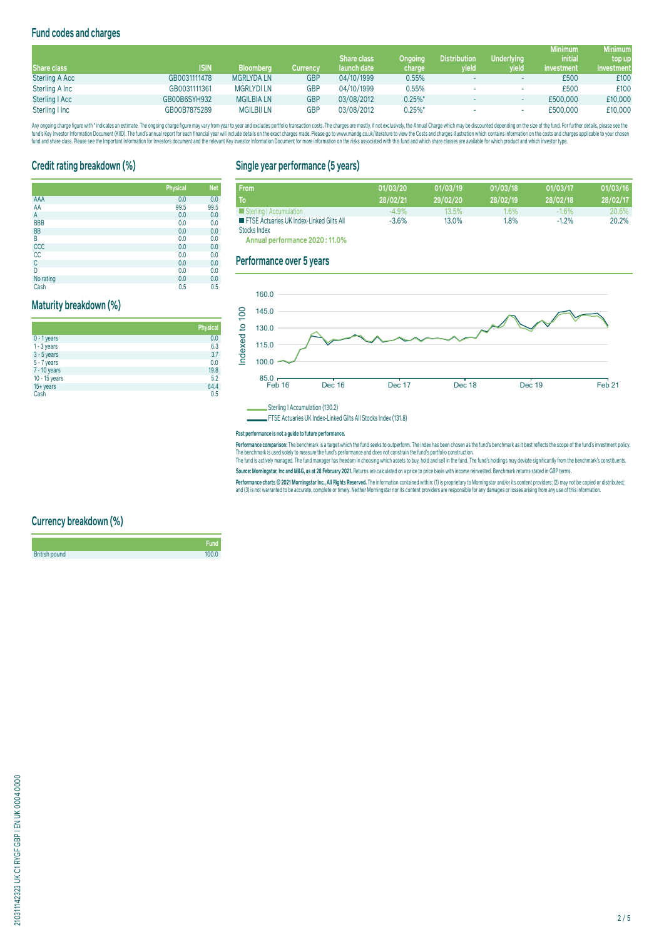# **Fund codes and charges**

|                       |              |                   |            |                    |                |                     |                   | <b>Minimum</b> | <b>Minimum</b> |
|-----------------------|--------------|-------------------|------------|--------------------|----------------|---------------------|-------------------|----------------|----------------|
|                       |              |                   |            | <b>Share class</b> | <b>Ongoing</b> | <b>Distribution</b> | <b>Underlying</b> | <i>initial</i> | top up         |
| Share class           | <b>ISIN</b>  | <b>Bloomberg</b>  | Currencv   | launch date        | charge         | yield               | wield             | investment     | investment     |
| <b>Sterling A Acc</b> | GB0031111478 | <b>MGRLYDA LN</b> | <b>GBP</b> | 04/10/1999         | 0.55%          |                     |                   | £500           | £100           |
| Sterling A Inc        | GB0031111361 | <b>MGRLYDILN</b>  | GBP        | 04/10/1999         | 0.55%          |                     | ۰                 | £500           | £100           |
| Sterling   Acc        | GB00B6SYH932 | <b>MGILBIA LN</b> | GBP        | 03/08/2012         | $0.25\%$ *     |                     |                   | £500,000       | £10,000        |
| Sterling I Inc        | GB00B7875289 | <b>MGILBII LN</b> | GBP        | 03/08/2012         | $0.25%$ *      |                     |                   | £500,000       | £10,000        |

Any ongoing charge figure with "indicates an estimate. The ongoing charge figure may vary from year to year and excludes portfolio transaction costs. The charges are mostly, if not exclusively, the Annual Charge which may fund's Key Investor Information Document (KIID). The fund's annual report for each financial year will include details on the exact charges made. Please go to www.mandg.co.uk/literature to view the Costs and charges injust

# **Credit rating breakdown (%)**

|            | <b>Physical</b> | <b>Net</b> |
|------------|-----------------|------------|
| AAA        | 0.0             | 0.0        |
| AA         | 99.5            | 99.5       |
| A          | 0.0             | 0.0        |
| <b>BBB</b> | 0.0             | 0.0        |
| <b>BB</b>  | 0.0             | 0.0        |
| B          | 0.0             | 0.0        |
| CCC        | 0.0             | 0.0        |
| cc         | 0.0             | 0.0        |
| C          | 0.0             | 0.0        |
| D          | 0.0             | 0.0        |
| No rating  | 0.0             | 0.0        |
| Cash       | 0.5             | 0.5        |

# **Maturity breakdown (%)**

|               | <b>Physical</b> |
|---------------|-----------------|
| $0 - 1$ years | 0.0             |
| $1 - 3$ years | 6.3             |
| $3 - 5$ years | 3.7             |
| 5 - 7 years   | 0.0             |
| 7 - 10 years  | 19.8            |
| 10 - 15 years | 5.2             |
| 15+ years     | 64.4            |
| Cash          | 0.5             |

# **Single year performance (5 years)**

| <b>From</b>                                              | 01/03/20 | 01/03/19 | 01/03/18 | 01/03/17 | 01/03/16 |
|----------------------------------------------------------|----------|----------|----------|----------|----------|
| To                                                       | 28/02/21 | 29/02/20 | 28/02/19 | 28/02/18 | 28/02/17 |
| Sterling   Accumulation                                  | $-4.9\%$ | 13.5%    | 1.6%     | $-1.6\%$ | 20.6%    |
| <b>EXECUTE:</b> FTSE Actuaries UK Index-Linked Gilts All | $-3.6%$  | 13.0%    | 1,8%     | $-1.2%$  | 20.2%    |
| Stocks Index                                             |          |          |          |          |          |

**Annual performance 2020 : 11.0%**

# **Performance over 5 years**



Sterling I Accumulation (130.2)

FTSE Actuaries UK Index-Linked Gilts All Stocks Index (131.8)

#### **Past performance is not a guide to future performance.**

**Performance comparison:** The benchmark is a target which the fund seeks to outperform. The index has been chosen as the fund's benchmark as it best reflects the scope of the fund's investment policy. The benchmark is used solely to measure the fund's performance and does not constrait the fund's portfolio construction.<br>The fund is actively managed. The fund manager has freedom in choosing which assets to buy, hold and

**Source: Morningstar, Inc and M&G, as at 28 February 2021.** Returns are calculated on a price to price basis with income reinvested. Benchmark returns stated in GBP terms.

Performance charts © 2021 Morningstar Inc., All Rights Reserved. The information contained within: (1) is proprietary to Morningstar and/or its content providers; (2) may not be copied or distributed; and (3) is not warranted to be accurate, complete or timely. Neither Morningstar nor its content providers are responsible for any damages or losses arising from any use of this information.

# **Currency breakdown (%)**

|                      | <b>Fund</b> |
|----------------------|-------------|
| <b>British pound</b> | 100.0       |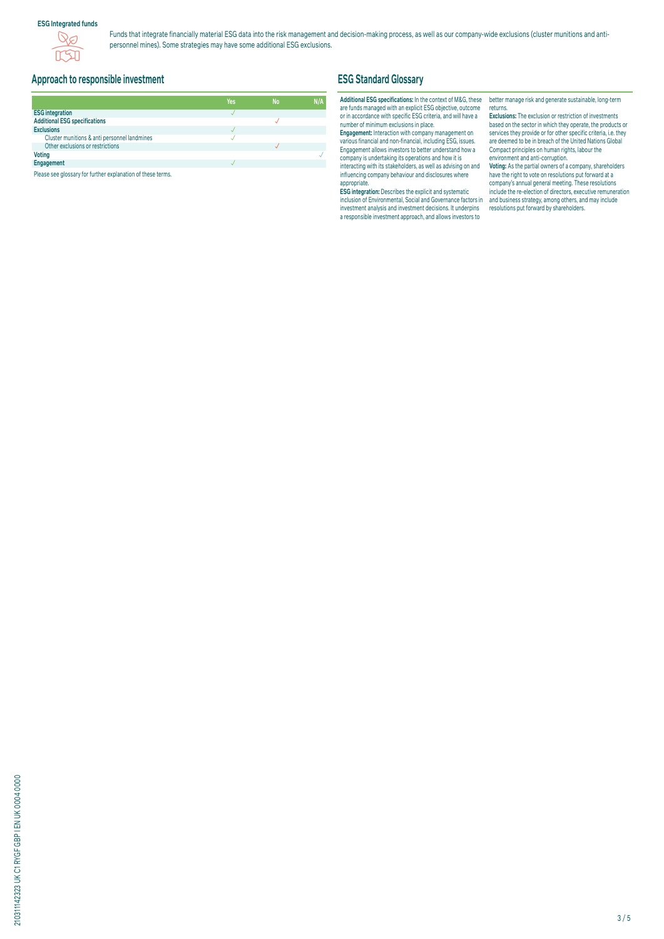### **ESG Integrated funds**



Funds that integrate financially material ESG data into the risk management and decision-making process, as well as our company-wide exclusions (cluster munitions and antipersonnel mines). Some strategies may have some additional ESG exclusions.

# **Approach to responsible investment**

|                                              | Yes | <b>No</b> | N/A |
|----------------------------------------------|-----|-----------|-----|
| <b>ESG integration</b>                       |     |           |     |
| <b>Additional ESG specifications</b>         |     |           |     |
| <b>Exclusions</b>                            |     |           |     |
| Cluster munitions & anti personnel landmines |     |           |     |
| Other exclusions or restrictions             |     |           |     |
| <b>Voting</b>                                |     |           |     |
| Engagement                                   |     |           |     |

Please see glossary for further explanation of these terms.

# **ESG Standard Glossary**

#### **Additional ESG specifications:** In the context of M&G, these are funds managed with an explicit ESG objective, outcome or in accordance with specific ESG criteria, and will have a number of minimum exclusions in place.

**Engagement:** Interaction with company management on various financial and non-financial, including ESG, issues. Engagement allows investors to better understand how a company is undertaking its operations and how it is interacting with its stakeholders, as well as advising on and influencing company behaviour and disclosures where appropriate.

**ESG integration:** Describes the explicit and systematic inclusion of Environmental, Social and Governance factors in investment analysis and investment decisions. It underpins a responsible investment approach, and allows investors to

better manage risk and generate sustainable, long-term returns.

**Exclusions:** The exclusion or restriction of investments based on the sector in which they operate, the products or services they provide or for other specific criteria, i.e. they are deemed to be in breach of the United Nations Global Compact principles on human rights, labour the environment and anti-corruption.

**Voting:** As the partial owners of a company, shareholders have the right to vote on resolutions put forward at a company's annual general meeting. These resolutions include the re-election of directors, executive remuneration and business strategy, among others, and may include resolutions put forward by shareholders.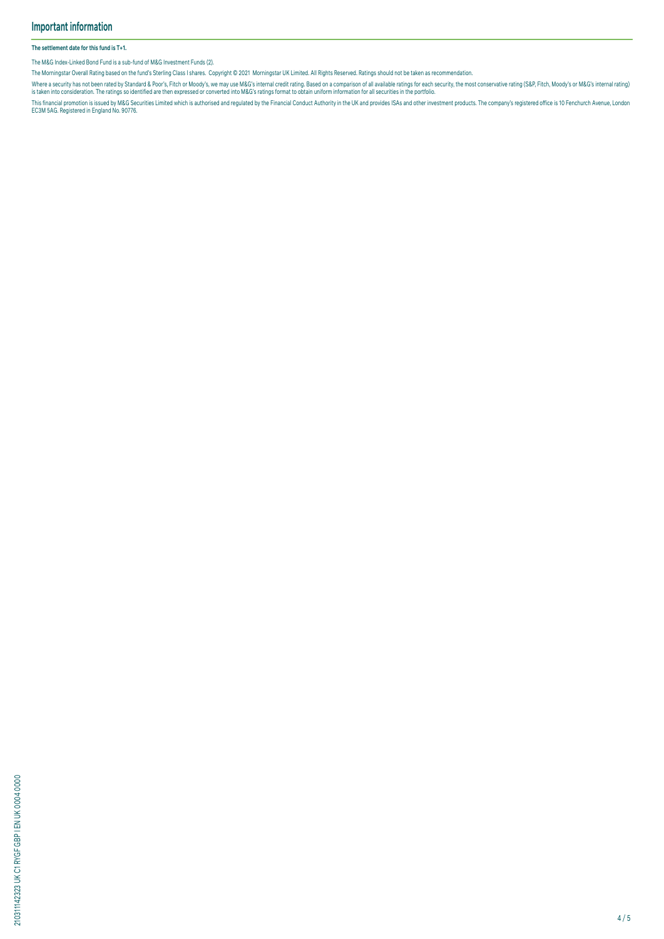#### **The settlement date for this fund is T+1.**

The M&G Index-Linked Bond Fund is a sub-fund of M&G Investment Funds (2).

The Morningstar Overall Rating based on the fund's Sterling Class I shares. Copyright © 2021 Morningstar UK Limited. All Rights Reserved. Ratings should not be taken as recommendation.

Where a security has not been rated by Standard & Poor's, Hich or Moody's, we may use M&G's internal credit rating. Based on a comparison of all available ratings for each security, the most conservative rating (S&P, Fitch

This financial promotion is issued by M&G Securities Limited which is authorised and regulated by the Financial Conduct Authority in the UK and provides ISAs and other investment products. The company's registered office i

210311142323 UK C1 RYGF GBP I EN UK 0004 0000 210311142323 UK C1 RYGF GBP I EN UK 0004 0000